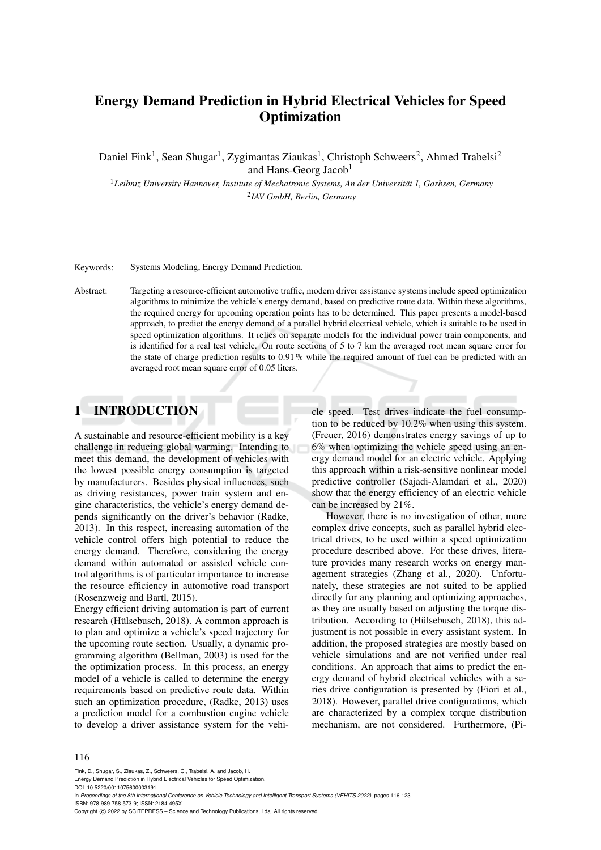# Energy Demand Prediction in Hybrid Electrical Vehicles for Speed **Optimization**

Daniel Fink<sup>1</sup>, Sean Shugar<sup>1</sup>, Zygimantas Ziaukas<sup>1</sup>, Christoph Schweers<sup>2</sup>, Ahmed Trabelsi<sup>2</sup> and Hans-Georg Jacob<sup>1</sup>

<sup>1</sup>*Leibniz University Hannover, Institute of Mechatronic Systems, An der Universitat 1, Garbsen, Germany ¨* 2 *IAV GmbH, Berlin, Germany*

Keywords: Systems Modeling, Energy Demand Prediction.

Abstract: Targeting a resource-efficient automotive traffic, modern driver assistance systems include speed optimization algorithms to minimize the vehicle's energy demand, based on predictive route data. Within these algorithms, the required energy for upcoming operation points has to be determined. This paper presents a model-based approach, to predict the energy demand of a parallel hybrid electrical vehicle, which is suitable to be used in speed optimization algorithms. It relies on separate models for the individual power train components, and is identified for a real test vehicle. On route sections of 5 to 7 km the averaged root mean square error for the state of charge prediction results to  $0.91\%$  while the required amount of fuel can be predicted with an averaged root mean square error of 0.05 liters.

# 1 INTRODUCTION

A sustainable and resource-efficient mobility is a key challenge in reducing global warming. Intending to meet this demand, the development of vehicles with the lowest possible energy consumption is targeted by manufacturers. Besides physical influences, such as driving resistances, power train system and engine characteristics, the vehicle's energy demand depends significantly on the driver's behavior (Radke, 2013). In this respect, increasing automation of the vehicle control offers high potential to reduce the energy demand. Therefore, considering the energy demand within automated or assisted vehicle control algorithms is of particular importance to increase the resource efficiency in automotive road transport (Rosenzweig and Bartl, 2015).

Energy efficient driving automation is part of current research (Hülsebusch, 2018). A common approach is to plan and optimize a vehicle's speed trajectory for the upcoming route section. Usually, a dynamic programming algorithm (Bellman, 2003) is used for the the optimization process. In this process, an energy model of a vehicle is called to determine the energy requirements based on predictive route data. Within such an optimization procedure, (Radke, 2013) uses a prediction model for a combustion engine vehicle to develop a driver assistance system for the vehicle speed. Test drives indicate the fuel consumption to be reduced by 10.2% when using this system. (Freuer, 2016) demonstrates energy savings of up to 6% when optimizing the vehicle speed using an energy demand model for an electric vehicle. Applying this approach within a risk-sensitive nonlinear model predictive controller (Sajadi-Alamdari et al., 2020) show that the energy efficiency of an electric vehicle can be increased by 21%.

However, there is no investigation of other, more complex drive concepts, such as parallel hybrid electrical drives, to be used within a speed optimization procedure described above. For these drives, literature provides many research works on energy management strategies (Zhang et al., 2020). Unfortunately, these strategies are not suited to be applied directly for any planning and optimizing approaches, as they are usually based on adjusting the torque distribution. According to (Hülsebusch, 2018), this adjustment is not possible in every assistant system. In addition, the proposed strategies are mostly based on vehicle simulations and are not verified under real conditions. An approach that aims to predict the energy demand of hybrid electrical vehicles with a series drive configuration is presented by (Fiori et al., 2018). However, parallel drive configurations, which are characterized by a complex torque distribution mechanism, are not considered. Furthermore, (Pi-

Fink, D., Shugar, S., Ziaukas, Z., Schweers, C., Trabelsi, A. and Jacob, H.

Energy Demand Prediction in Hybrid Electrical Vehicles for Speed Optimization.

DOI: 10.5220/0011075600003191

In *Proceedings of the 8th International Conference on Vehicle Technology and Intelligent Transport Systems (VEHITS 2022)*, pages 116-123 ISBN: 978-989-758-573-9; ISSN: 2184-495X

Copyright (C) 2022 by SCITEPRESS - Science and Technology Publications, Lda. All rights reserved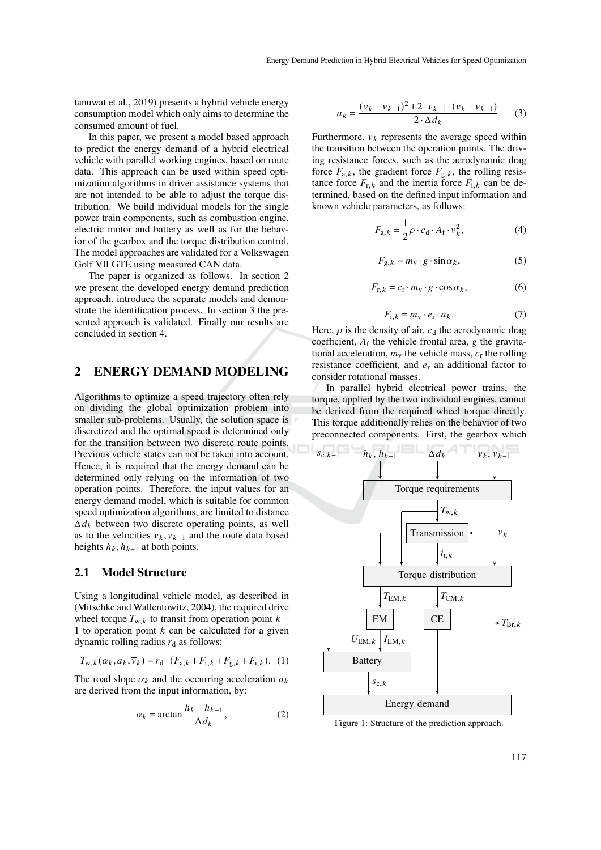tanuwat et al., 2019) presents a hybrid vehicle energy consumption model which only aims to determine the consumed amount of fuel.

In this paper, we present a model based approach to predict the energy demand of a hybrid electrical vehicle with parallel working engines, based on route data. This approach can be used within speed optimization algorithms in driver assistance systems that are not intended to be able to adjust the torque distribution. We build individual models for the single power train components, such as combustion engine, electric motor and battery as well as for the behavior of the gearbox and the torque distribution control. The model approaches are validated for a Volkswagen Golf VII GTE using measured CAN data.

The paper is organized as follows. In section 2 we present the developed energy demand prediction approach, introduce the separate models and demonstrate the identification process. In section 3 the presented approach is validated. Finally our results are concluded in section 4.

## 2 ENERGY DEMAND MODELING

Algorithms to optimize a speed trajectory often rely on dividing the global optimization problem into smaller sub-problems. Usually, the solution space is discretized and the optimal speed is determined only for the transition between two discrete route points. Previous vehicle states can not be taken into account. Hence, it is required that the energy demand can be determined only relying on the information of two operation points. Therefore, the input values for an energy demand model, which is suitable for common speed optimization algorithms, are limited to distance  $\Delta d_k$  between two discrete operating points, as well as to the velocities  $v_k$ ,  $v_{k-1}$  and the route data based heights  $h_k$ ,  $h_{k-1}$  at both points.

### 2.1 Model Structure

Using a longitudinal vehicle model, as described in (Mitschke and Wallentowitz, 2004), the required drive wheel torque  $T_{w,k}$  to transit from operation point  $k -$ 1 to operation point  $k$  can be calculated for a given dynamic rolling radius  $r_d$  as follows:

$$
T_{w,k}(\alpha_k, a_k, \overline{v}_k) = r_d \cdot (F_{a,k} + F_{r,k} + F_{g,k} + F_{i,k}).
$$
 (1)

The road slope  $\alpha_k$  and the occurring acceleration  $a_k$ are derived from the input information, by:

$$
\alpha_k = \arctan \frac{h_k - h_{k-1}}{\Delta d_k},\tag{2}
$$

$$
a_k = \frac{(v_k - v_{k-1})^2 + 2 \cdot v_{k-1} \cdot (v_k - v_{k-1})}{2 \cdot \Delta d_k}.
$$
 (3)

Furthermore,  $\bar{v}_k$  represents the average speed within the transition between the operation points. The driving resistance forces, such as the aerodynamic drag force  $F_{a,k}$ , the gradient force  $F_{g,k}$ , the rolling resistance force  $F_{r,k}$  and the inertia force  $F_{i,k}$  can be determined, based on the defined input information and known vehicle parameters, as follows:

$$
F_{a,k} = \frac{1}{2}\rho \cdot c_d \cdot A_f \cdot \overline{v}_k^2,
$$
 (4)

$$
F_{g,k} = m_v \cdot g \cdot \sin \alpha_k, \tag{5}
$$

$$
F_{\mathbf{r},k} = c_{\mathbf{r}} \cdot m_{\mathbf{v}} \cdot g \cdot \cos \alpha_k, \tag{6}
$$

$$
F_{i,k} = m_v \cdot e_r \cdot a_k. \tag{7}
$$

Here,  $\rho$  is the density of air,  $c_d$  the aerodynamic drag coefficient,  $A_f$  the vehicle frontal area, g the gravitational acceleration,  $m_v$  the vehicle mass,  $c_r$  the rolling resistance coefficient, and  $e_r$  an additional factor to consider rotational masses.

In parallel hybrid electrical power trains, the torque, applied by the two individual engines, cannot be derived from the required wheel torque directly. This torque additionally relies on the behavior of two preconnected components. First, the gearbox which



Figure 1: Structure of the prediction approach.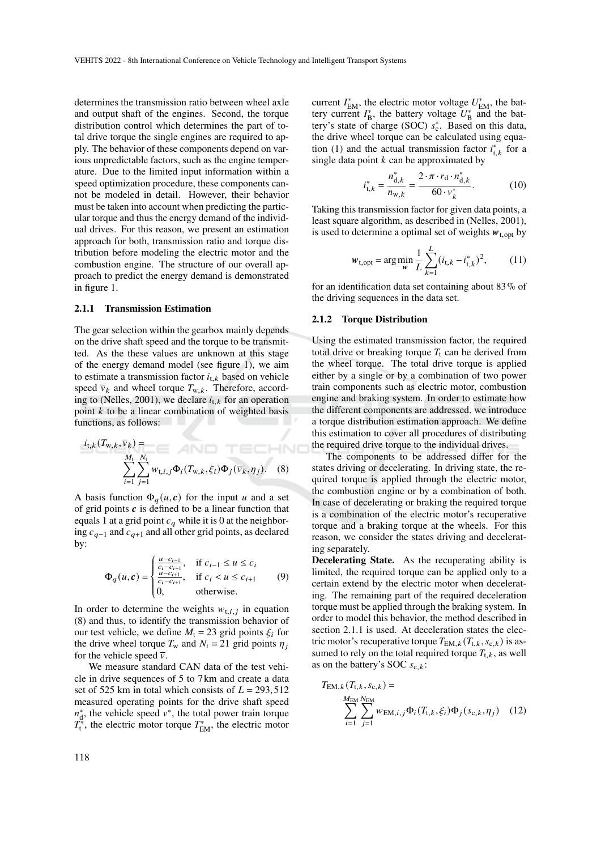determines the transmission ratio between wheel axle and output shaft of the engines. Second, the torque distribution control which determines the part of total drive torque the single engines are required to apply. The behavior of these components depend on various unpredictable factors, such as the engine temperature. Due to the limited input information within a speed optimization procedure, these components cannot be modeled in detail. However, their behavior must be taken into account when predicting the particular torque and thus the energy demand of the individual drives. For this reason, we present an estimation approach for both, transmission ratio and torque distribution before modeling the electric motor and the combustion engine. The structure of our overall approach to predict the energy demand is demonstrated in figure 1.

#### 2.1.1 Transmission Estimation

The gear selection within the gearbox mainly depends on the drive shaft speed and the torque to be transmitted. As the these values are unknown at this stage of the energy demand model (see figure 1), we aim to estimate a transmission factor  $i_{t,k}$  based on vehicle speed  $\bar{v}_k$  and wheel torque  $T_{w,k}$ . Therefore, according to (Nelles, 2001), we declare  $i_{t,k}$  for an operation point  $k$  to be a linear combination of weighted basis functions, as follows:

$$
i_{t,k}(T_{w,k}, \overline{v}_k) = \sum_{\substack{M_t \\ i=1}}^{M_t} \sum_{j=1}^{N_t} w_{t,i,j} \Phi_i(T_{w,k}, \xi_i) \Phi_j(\overline{v}_k, \eta_j). \quad (8)
$$

A basis function  $\Phi_a(u, c)$  for the input u and a set of grid points  $c$  is defined to be a linear function that equals 1 at a grid point  $c_q$  while it is 0 at the neighboring  $c_{q-1}$  and  $c_{q+1}$  and all other grid points, as declared by:

$$
\Phi_q(u, c) = \begin{cases}\n\frac{u - c_{i-1}}{c_i - c_{i+1}}, & \text{if } c_{i-1} \le u \le c_i \\
\frac{u - c_{i+1}}{c_i - c_{i+1}}, & \text{if } c_i < u \le c_{i+1} \\
0, & \text{otherwise.} \n\end{cases} \tag{9}
$$

In order to determine the weights  $w_{t,i,j}$  in equation (8) and thus, to identify the transmission behavior of our test vehicle, we define  $M_t = 23$  grid points  $\xi_i$  for the drive wheel torque  $T_w$  and  $N_t = 21$  grid points  $\eta_i$ for the vehicle speed  $\bar{v}$ .

We measure standard CAN data of the test vehicle in drive sequences of 5 to 7 km and create a data set of 525 km in total which consists of  $L = 293,512$ measured operating points for the drive shaft speed  $n_{\rm d}^*$ , the vehicle speed  $v^*$ , the total power train torque  $T_{t}^{*}$ , the electric motor torque  $T_{EM}^{*}$ , the electric motor

current  $I_{EM}^*$ , the electric motor voltage  $U_{EM}^*$ , the battery current  $I_{\text{B}}^*$ , the battery voltage  $U_{\text{B}}^*$  and the battery's state of charge (SOC)  $s_c^*$ . Based on this data, the drive wheel torque can be calculated using equation (1) and the actual transmission factor  $i_{t,k}^*$  for a single data point  $k$  can be approximated by

$$
i_{\mathrm{t},k}^* = \frac{n_{\mathrm{d},k}^*}{n_{\mathrm{w},k}} = \frac{2 \cdot \pi \cdot r_{\mathrm{d}} \cdot n_{\mathrm{d},k}^*}{60 \cdot v_k^*}.
$$
 (10)

Taking this transmission factor for given data points, a least square algorithm, as described in (Nelles, 2001), is used to determine a optimal set of weights  $w_{t, opt}$  by

$$
\mathbf{w}_{t,\text{opt}} = \arg\min_{\mathbf{w}} \frac{1}{L} \sum_{k=1}^{L} (i_{t,k} - i_{t,k}^*)^2, \quad (11)
$$

for an identification data set containing about  $83\%$  of the driving sequences in the data set.

#### 2.1.2 Torque Distribution

Using the estimated transmission factor, the required total drive or breaking torque  $T_t$  can be derived from the wheel torque. The total drive torque is applied either by a single or by a combination of two power train components such as electric motor, combustion engine and braking system. In order to estimate how the different components are addressed, we introduce a torque distribution estimation approach. We define this estimation to cover all procedures of distributing the required drive torque to the individual drives.

The components to be addressed differ for the states driving or decelerating. In driving state, the required torque is applied through the electric motor, the combustion engine or by a combination of both. In case of decelerating or braking the required torque is a combination of the electric motor's recuperative torque and a braking torque at the wheels. For this reason, we consider the states driving and decelerating separately.

Decelerating State. As the recuperating ability is limited, the required torque can be applied only to a certain extend by the electric motor when decelerating. The remaining part of the required deceleration torque must be applied through the braking system. In order to model this behavior, the method described in section 2.1.1 is used. At deceleration states the electric motor's recuperative torque  $T_{EM,k}(T_{t,k}, s_{c,k})$  is assumed to rely on the total required torque  $T_{t,k}$ , as well as on the battery's SOC  $s_{c,k}$ :

$$
T_{\text{EM},k}(T_{\text{t},k}, s_{\text{c},k}) = \sum_{i=1}^{M_{\text{EM}} N_{\text{EM}}} \sum_{j=1}^{N_{\text{EM}}} w_{\text{EM},i,j} \Phi_i(T_{\text{t},k}, \xi_i) \Phi_j(s_{\text{c},k}, \eta_j)
$$
 (12)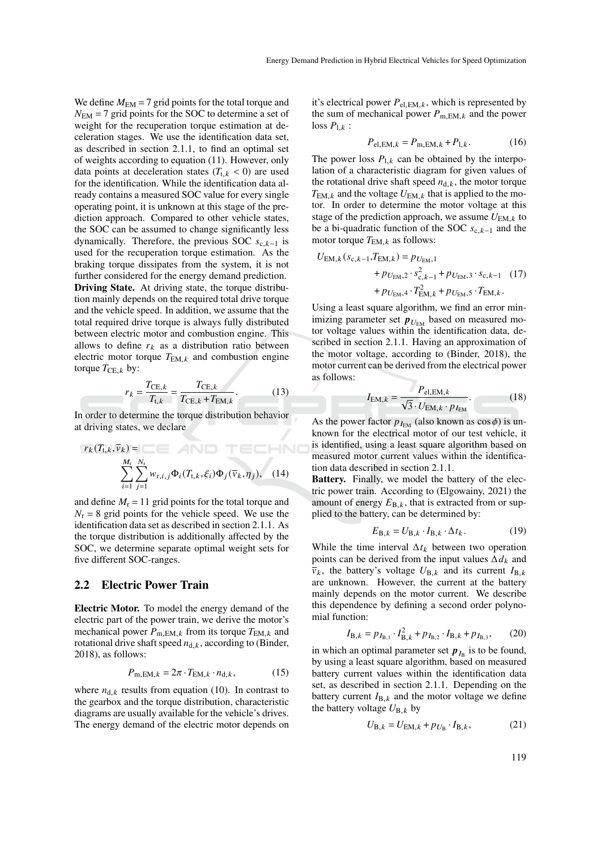We define  $M_{\text{EM}} = 7$  grid points for the total torque and  $N_{\text{EM}} = 7$  grid points for the SOC to determine a set of weight for the recuperation torque estimation at deceleration stages. We use the identification data set, as described in section 2.1.1, to find an optimal set of weights according to equation (11). However, only data points at deceleration states  $(T_{t,k} < 0)$  are used for the identification. While the identification data already contains a measured SOC value for every single operating point, it is unknown at this stage of the prediction approach. Compared to other vehicle states, the SOC can be assumed to change significantly less dynamically. Therefore, the previous SOC  $s_{c,k-1}$  is used for the recuperation torque estimation. As the braking torque dissipates from the system, it is not further considered for the energy demand prediction. Driving State. At driving state, the torque distribution mainly depends on the required total drive torque and the vehicle speed. In addition, we assume that the total required drive torque is always fully distributed between electric motor and combustion engine. This allows to define  $r_k$  as a distribution ratio between electric motor torque  $T_{EM,k}$  and combustion engine torque  $T_{\text{CE},k}$  by:

$$
r_k = \frac{T_{\text{CE},k}}{T_{\text{t},k}} = \frac{T_{\text{CE},k}}{T_{\text{CE},k} + T_{\text{EM},k}}.
$$
(13)

In order to determine the torque distribution behavior at driving states, we declare

$$
r_k(T_{\mathbf{t},k}, \overline{v}_k) = \sum_{i=1}^{M_{\mathbf{r}}}\sum_{j=1}^{N_{\mathbf{r}}} w_{\mathbf{r},i,j} \Phi_i(T_{\mathbf{t},k}, \xi_i) \Phi_j(\overline{v}_k, \eta_j), \quad (14)
$$

and define  $M_r = 11$  grid points for the total torque and  $N_r = 8$  grid points for the vehicle speed. We use the identification data set as described in section 2.1.1. As the torque distribution is additionally affected by the SOC, we determine separate optimal weight sets for five different SOC-ranges.

### 2.2 Electric Power Train

Electric Motor. To model the energy demand of the electric part of the power train, we derive the motor's mechanical power  $P_{m,EM,k}$  from its torque  $T_{EM,k}$  and rotational drive shaft speed  $n_{d,k}$ , according to (Binder, 2018), as follows:

$$
P_{\text{m,EM},k} = 2\pi \cdot T_{\text{EM},k} \cdot n_{\text{d},k},\tag{15}
$$

where  $n_{d,k}$  results from equation (10). In contrast to the gearbox and the torque distribution, characteristic diagrams are usually available for the vehicle's drives. The energy demand of the electric motor depends on

it's electrical power  $P_{el,EM,k}$ , which is represented by the sum of mechanical power  $P_{m,EM,k}$  and the power loss  $P_{1,k}$  :

$$
P_{\text{el,EM},k} = P_{\text{m,EM},k} + P_{\text{l},k}.
$$
 (16)

The power loss  $P_{1,k}$  can be obtained by the interpolation of a characteristic diagram for given values of the rotational drive shaft speed  $n_{\text{d},k}$ , the motor torque  $T_{EM,k}$  and the voltage  $U_{EM,k}$  that is applied to the motor. In order to determine the motor voltage at this stage of the prediction approach, we assume  $U_{EM,k}$  to be a bi-quadratic function of the SOC  $s_{c,k-1}$  and the motor torque  $T_{EM,k}$  as follows:

$$
U_{\text{EM},k}(s_{\text{c},k-1},T_{\text{EM},k}) = p_{U_{\text{EM}},1}
$$
  
+  $p_{U_{\text{EM}},2} \cdot s_{\text{c},k-1}^2 + p_{U_{\text{EM}},3} \cdot s_{\text{c},k-1}$  (17)  
+  $p_{U_{\text{EM}},4} \cdot T_{\text{EM},k}^2 + p_{U_{\text{EM}},5} \cdot T_{\text{EM},k}$ .

Using a least square algorithm, we find an error minimizing parameter set  $p_{U_{EM}}$  based on measured motor voltage values within the identification data, described in section 2.1.1. Having an approximation of the motor voltage, according to (Binder, 2018), the motor current can be derived from the electrical power as follows:

$$
I_{\text{EM},k} = \frac{P_{\text{el,EM},k}}{\sqrt{3} \cdot U_{\text{EM},k} \cdot p_{I_{\text{EM}}}}.\tag{18}
$$

As the power factor  $p_{I_{EM}}$  (also known as  $\cos \phi$ ) is unknown for the electrical motor of our test vehicle, it is identified, using a least square algorithm based on measured motor current values within the identification data described in section 2.1.1.

Battery. Finally, we model the battery of the electric power train. According to (Elgowainy, 2021) the amount of energy  $E_{B,k}$ , that is extracted from or supplied to the battery, can be determined by:

$$
E_{\mathbf{B},k} = U_{\mathbf{B},k} \cdot I_{\mathbf{B},k} \cdot \Delta t_k. \tag{19}
$$

While the time interval  $\Delta t_k$  between two operation points can be derived from the input values  $\Delta d_k$  and  $\overline{v}_k$ , the battery's voltage  $U_{\text{B},k}$  and its current  $I_{\text{B},k}$ are unknown. However, the current at the battery mainly depends on the motor current. We describe this dependence by defining a second order polynomial function:

$$
I_{\text{B},k} = p_{I_{\text{B},1}} \cdot I_{\text{B},k}^2 + p_{I_{\text{B},2}} \cdot I_{\text{B},k} + p_{I_{\text{B},3}},\qquad(20)
$$

in which an optimal parameter set  $p_{I_B}$  is to be found, by using a least square algorithm, based on measured battery current values within the identification data set, as described in section 2.1.1. Depending on the battery current  $I_{B,k}$  and the motor voltage we define the battery voltage  $U_{B,k}$  by

$$
U_{\text{B},k} = U_{\text{EM},k} + p_{U_{\text{B}}} \cdot I_{\text{B},k},\tag{21}
$$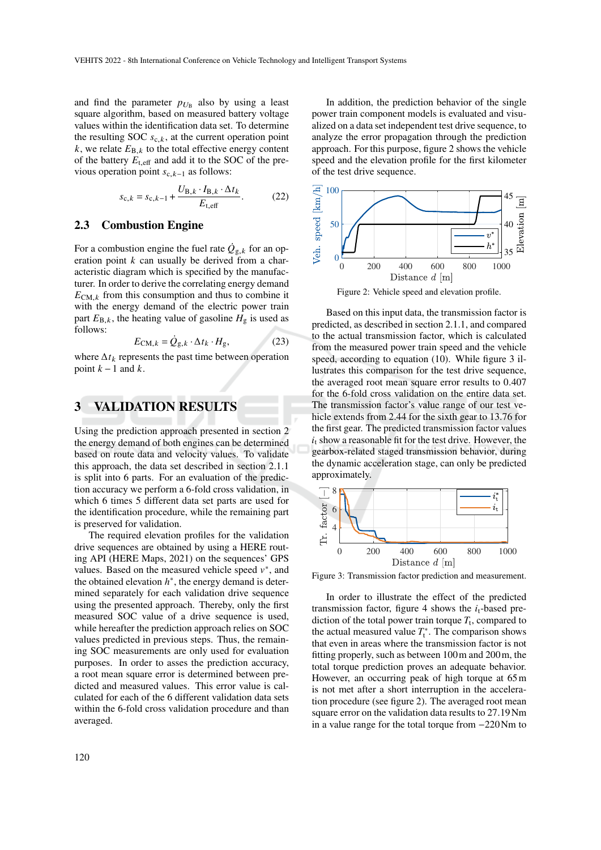and find the parameter  $p_{U_B}$  also by using a least square algorithm, based on measured battery voltage values within the identification data set. To determine the resulting SOC  $s_{c,k}$ , at the current operation point  $k$ , we relate  $E_{\text{B},k}$  to the total effective energy content of the battery  $E_{t,eff}$  and add it to the SOC of the previous operation point  $s_{c,k-1}$  as follows:

$$
s_{\mathrm{c},k} = s_{\mathrm{c},k-1} + \frac{U_{\mathrm{B},k} \cdot I_{\mathrm{B},k} \cdot \Delta t_k}{E_{\mathrm{t,eff}}}.\tag{22}
$$

### 2.3 Combustion Engine

For a combustion engine the fuel rate  $\dot{Q}_{g,k}$  for an operation point  $k$  can usually be derived from a characteristic diagram which is specified by the manufacturer. In order to derive the correlating energy demand  $E_{\text{CM},k}$  from this consumption and thus to combine it with the energy demand of the electric power train part  $E_{\text{B},k}$ , the heating value of gasoline  $H_{\text{g}}$  is used as follows:

$$
E_{\text{CM},k} = \dot{Q}_{g,k} \cdot \Delta t_k \cdot H_g,\tag{23}
$$

where  $\Delta t_k$  represents the past time between operation point  $k-1$  and  $k$ .

## 3 VALIDATION RESULTS

Using the prediction approach presented in section 2 the energy demand of both engines can be determined based on route data and velocity values. To validate this approach, the data set described in section 2.1.1 is split into 6 parts. For an evaluation of the prediction accuracy we perform a 6-fold cross validation, in which 6 times 5 different data set parts are used for the identification procedure, while the remaining part is preserved for validation.

The required elevation profiles for the validation drive sequences are obtained by using a HERE routing API (HERE Maps, 2021) on the sequences' GPS values. Based on the measured vehicle speed  $v^*$ , and the obtained elevation  $h^*$ , the energy demand is determined separately for each validation drive sequence using the presented approach. Thereby, only the first measured SOC value of a drive sequence is used, while hereafter the prediction approach relies on SOC values predicted in previous steps. Thus, the remaining SOC measurements are only used for evaluation purposes. In order to asses the prediction accuracy, a root mean square error is determined between predicted and measured values. This error value is calculated for each of the 6 different validation data sets within the 6-fold cross validation procedure and than averaged.

In addition, the prediction behavior of the single power train component models is evaluated and visualized on a data set independent test drive sequence, to analyze the error propagation through the prediction approach. For this purpose, figure 2 shows the vehicle speed and the elevation profile for the first kilometer of the test drive sequence.



Based on this input data, the transmission factor is predicted, as described in section 2.1.1, and compared to the actual transmission factor, which is calculated from the measured power train speed and the vehicle speed, according to equation (10). While figure 3 illustrates this comparison for the test drive sequence, the averaged root mean square error results to 0.407 for the 6-fold cross validation on the entire data set. The transmission factor's value range of our test vehicle extends from 2.44 for the sixth gear to 13.76 for the first gear. The predicted transmission factor values  $i_t$  show a reasonable fit for the test drive. However, the gearbox-related staged transmission behavior, during the dynamic acceleration stage, can only be predicted approximately.



Figure 3: Transmission factor prediction and measurement.

In order to illustrate the effect of the predicted transmission factor, figure 4 shows the  $i_t$ -based prediction of the total power train torque  $T_t$ , compared to the actual measured value  $T_t^*$ . The comparison shows that even in areas where the transmission factor is not fitting properly, such as between 100m and 200m, the total torque prediction proves an adequate behavior. However, an occurring peak of high torque at 65m is not met after a short interruption in the acceleration procedure (see figure 2). The averaged root mean square error on the validation data results to 27.19Nm in a value range for the total torque from −220Nm to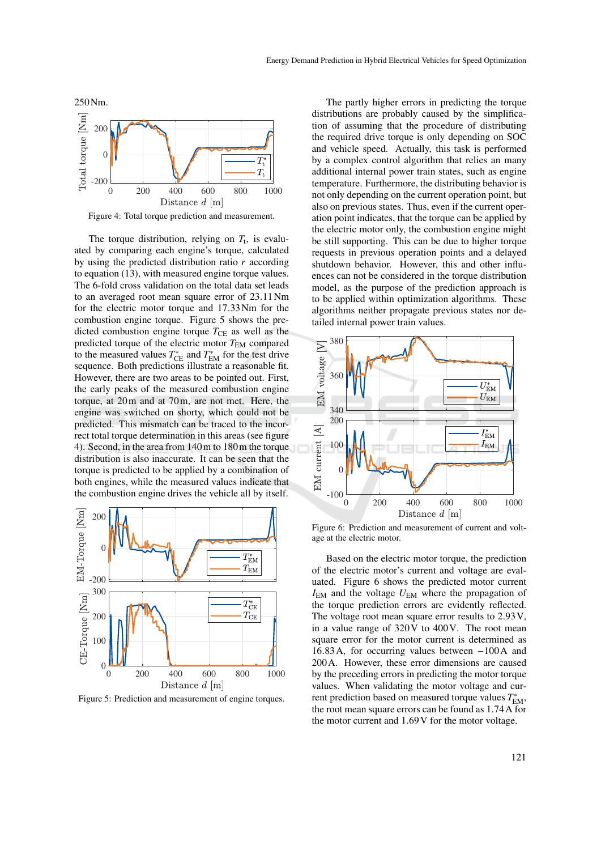

Figure 4: Total torque prediction and measurement.

The torque distribution, relying on  $T_t$ , is evaluated by comparing each engine's torque, calculated by using the predicted distribution ratio  $r$  according to equation (13), with measured engine torque values. The 6-fold cross validation on the total data set leads to an averaged root mean square error of 23.11Nm for the electric motor torque and 17.33Nm for the combustion engine torque. Figure 5 shows the predicted combustion engine torque  $T_{\text{CE}}$  as well as the predicted torque of the electric motor  $T_{EM}$  compared to the measured values  $T_{\text{CE}}^*$  and  $T_{\text{EM}}^*$  for the test drive sequence. Both predictions illustrate a reasonable fit. However, there are two areas to be pointed out. First, the early peaks of the measured combustion engine torque, at 20m and at 70m, are not met. Here, the engine was switched on shorty, which could not be predicted. This mismatch can be traced to the incorrect total torque determination in this areas (see figure 4). Second, in the area from 140m to 180m the torque distribution is also inaccurate. It can be seen that the torque is predicted to be applied by a combination of both engines, while the measured values indicate that the combustion engine drives the vehicle all by itself.



Figure 5: Prediction and measurement of engine torques.

The partly higher errors in predicting the torque distributions are probably caused by the simplification of assuming that the procedure of distributing the required drive torque is only depending on SOC and vehicle speed. Actually, this task is performed by a complex control algorithm that relies an many additional internal power train states, such as engine temperature. Furthermore, the distributing behavior is not only depending on the current operation point, but also on previous states. Thus, even if the current operation point indicates, that the torque can be applied by the electric motor only, the combustion engine might be still supporting. This can be due to higher torque requests in previous operation points and a delayed shutdown behavior. However, this and other influences can not be considered in the torque distribution model, as the purpose of the prediction approach is to be applied within optimization algorithms. These algorithms neither propagate previous states nor detailed internal power train values.



Figure 6: Prediction and measurement of current and voltage at the electric motor.

Based on the electric motor torque, the prediction of the electric motor's current and voltage are evaluated. Figure 6 shows the predicted motor current  $I_{EM}$  and the voltage  $U_{EM}$  where the propagation of the torque prediction errors are evidently reflected. The voltage root mean square error results to 2.93V, in a value range of 320V to 400V. The root mean square error for the motor current is determined as 16.83A, for occurring values between −100A and 200A. However, these error dimensions are caused by the preceding errors in predicting the motor torque values. When validating the motor voltage and current prediction based on measured torque values  $T_{\rm EM}^*$ , the root mean square errors can be found as 1.74A for the motor current and 1.69V for the motor voltage.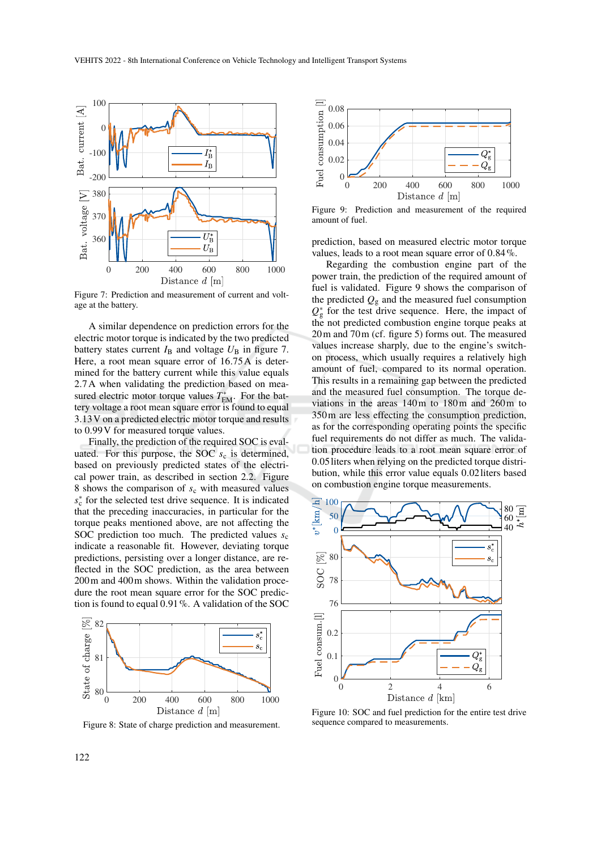

Figure 7: Prediction and measurement of current and voltage at the battery.

A similar dependence on prediction errors for the electric motor torque is indicated by the two predicted battery states current  $I_B$  and voltage  $U_B$  in figure 7. Here, a root mean square error of 16.75A is determined for the battery current while this value equals 2.7A when validating the prediction based on measured electric motor torque values  $T^*_{EM}$ . For the battery voltage a root mean square error is found to equal 3.13V on a predicted electric motor torque and results to 0.99V for measured torque values.

Finally, the prediction of the required SOC is evaluated. For this purpose, the SOC  $s_c$  is determined, based on previously predicted states of the electrical power train, as described in section 2.2. Figure 8 shows the comparison of  $s_c$  with measured values  $s_c^*$  for the selected test drive sequence. It is indicated that the preceding inaccuracies, in particular for the torque peaks mentioned above, are not affecting the SOC prediction too much. The predicted values  $s_c$ indicate a reasonable fit. However, deviating torque predictions, persisting over a longer distance, are reflected in the SOC prediction, as the area between 200m and 400m shows. Within the validation procedure the root mean square error for the SOC prediction is found to equal 0.91%. A validation of the SOC



Figure 8: State of charge prediction and measurement.



Figure 9: Prediction and measurement of the required amount of fuel.

prediction, based on measured electric motor torque values, leads to a root mean square error of 0.84%.

Regarding the combustion engine part of the power train, the prediction of the required amount of fuel is validated. Figure 9 shows the comparison of the predicted  $Q<sub>g</sub>$  and the measured fuel consumption  $Q_{\rm g}^*$  for the test drive sequence. Here, the impact of the not predicted combustion engine torque peaks at 20m and 70m (cf. figure 5) forms out. The measured values increase sharply, due to the engine's switchon process, which usually requires a relatively high amount of fuel, compared to its normal operation. This results in a remaining gap between the predicted and the measured fuel consumption. The torque deviations in the areas 140m to 180m and 260m to 350m are less effecting the consumption prediction, as for the corresponding operating points the specific fuel requirements do not differ as much. The validation procedure leads to a root mean square error of 0.05liters when relying on the predicted torque distribution, while this error value equals 0.02liters based on combustion engine torque measurements.



Figure 10: SOC and fuel prediction for the entire test drive sequence compared to measurements.